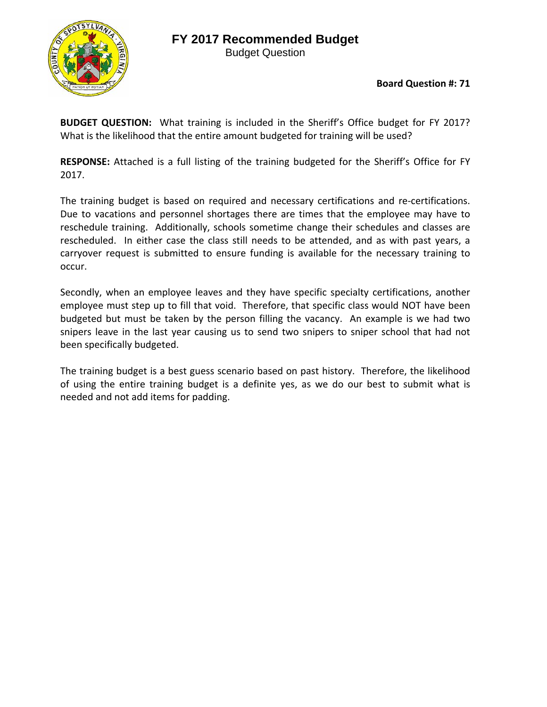## **FY 2017 Recommended Budget**



Budget Question

**Board Question #: 71**

**BUDGET QUESTION:**  What training is included in the Sheriff's Office budget for FY 2017? What is the likelihood that the entire amount budgeted for training will be used?

**RESPONSE:** Attached is a full listing of the training budgeted for the Sheriff's Office for FY 2017.

The training budget is based on required and necessary certifications and re-certifications. Due to vacations and personnel shortages there are times that the employee may have to reschedule training. Additionally, schools sometime change their schedules and classes are rescheduled. In either case the class still needs to be attended, and as with past years, a carryover request is submitted to ensure funding is available for the necessary training to occur.

Secondly, when an employee leaves and they have specific specialty certifications, another employee must step up to fill that void. Therefore, that specific class would NOT have been budgeted but must be taken by the person filling the vacancy. An example is we had two snipers leave in the last year causing us to send two snipers to sniper school that had not been specifically budgeted.

The training budget is a best guess scenario based on past history. Therefore, the likelihood of using the entire training budget is a definite yes, as we do our best to submit what is needed and not add items for padding.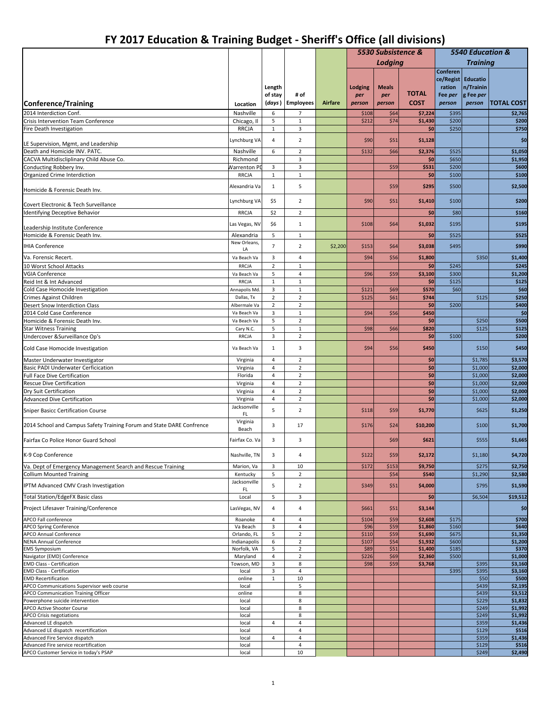## **FY 2017 Education & Training Budget ‐ Sheriff's Office (all divisions)**

| Lodaina                                                                                                                                                                                                     |                             |                    |  |
|-------------------------------------------------------------------------------------------------------------------------------------------------------------------------------------------------------------|-----------------------------|--------------------|--|
|                                                                                                                                                                                                             | <b>Training</b>             |                    |  |
| Conferen                                                                                                                                                                                                    |                             |                    |  |
| ce/Regist Educatio                                                                                                                                                                                          |                             |                    |  |
| ration<br>Length<br><b>Lodging</b><br><b>Meals</b><br><b>TOTAL</b>                                                                                                                                          | n/Trainin<br>g Fee per      |                    |  |
| of stay<br># of<br>Fee per<br>per<br>per<br><b>COST</b><br>(days)<br><b>Employees</b><br>Airfare<br>Conference/Training<br>person<br>person<br>person<br>Location                                           | person<br><b>TOTAL COST</b> |                    |  |
| 2014 Interdiction Conf.                                                                                                                                                                                     |                             |                    |  |
| Nashville<br>6<br>$\overline{7}$<br>\$64<br>\$7,224<br>\$395<br>\$108<br>5<br>\$200<br>$\mathbf 1$<br>\$212<br>\$74<br>\$1,430<br>Crisis Intervention Team Conference<br>Chicago, Il                        |                             | \$2,765<br>\$200   |  |
| $\mathbf{1}$<br>3<br>\$0<br>\$250<br>Fire Death Investigation<br><b>RRCJA</b>                                                                                                                               |                             | \$750              |  |
|                                                                                                                                                                                                             |                             |                    |  |
| Lynchburg VA<br>$\overline{4}$<br>$\overline{2}$<br>\$90<br>\$1,128<br>\$51<br>LE Supervision, Mgmt, and Leadership                                                                                         |                             | \$0                |  |
| Death and Homicide INV. PATC.<br>$\overline{2}$<br>\$525<br>Nashville<br>6<br>\$132<br>\$66<br>\$2,376                                                                                                      |                             | \$1,050            |  |
| \$0<br>\$650<br>CACVA Multidiscliplinary Child Abuse Co.<br>Richmond<br>3                                                                                                                                   |                             | \$1,950            |  |
| 3<br>\$531<br>\$200<br>\$59<br>Conducting Robbery Inv.<br><b>Narrenton PD</b><br>3<br>\$0<br><b>RRCJA</b><br>$\mathbf{1}$<br>$\mathbf 1$<br>\$100                                                           |                             | \$600<br>\$100     |  |
| Organized Crime Interdiction                                                                                                                                                                                |                             |                    |  |
| 5<br>\$500<br>\$59<br>\$295<br>Alexandria Va<br>1<br>Homicide & Forensic Death Inv.                                                                                                                         |                             | \$2,500            |  |
| \$5<br>$\overline{2}$<br>\$90<br>\$51<br>\$1,410<br>\$100<br>Lynchburg VA                                                                                                                                   |                             | \$200              |  |
| Covert Electronic & Tech Surveillance                                                                                                                                                                       |                             |                    |  |
| \$0<br>\$80<br>Identifying Deceptive Behavior<br>\$2<br>$\overline{2}$<br><b>RRCJA</b>                                                                                                                      |                             | \$160              |  |
| \$6<br>Las Vegas, NV<br>$\mathbf{1}$<br>\$108<br>\$64<br>\$1,032<br>\$195<br>Leadership Institute Conference                                                                                                |                             | \$195              |  |
| \$0<br>\$525<br>Homicide & Forensic Death Inv.<br>5<br>Alexandria<br>$\mathbf{1}$                                                                                                                           |                             | \$525              |  |
| New Orleans<br>$\overline{7}$<br><b>IHIA Conference</b><br>$\overline{2}$<br>\$2,200<br>\$64<br>\$3,038<br>\$495<br>\$153                                                                                   |                             | \$990              |  |
| LA                                                                                                                                                                                                          |                             |                    |  |
| 3<br>\$94<br>Va. Forensic Recert.<br>Va Beach Va<br>4<br>\$56<br>\$1,800                                                                                                                                    | \$350                       | \$1,400            |  |
| \$0<br>$\overline{2}$<br>\$245<br>10 Worst School Attacks<br>RRCJA<br>$\mathbf 1$<br>\$300                                                                                                                  |                             | \$245              |  |
| \$3,100<br><b>VGIA Conference</b><br>5<br>4<br>\$96<br>\$59<br>Va Beach Va<br>$\mathbf{1}$<br>\$0<br>\$125<br>$\mathbf{1}$<br>Reid Int & Int Advanced<br>RRCJA                                              |                             | \$1,200<br>\$125   |  |
| Cold Case Homocide Investigation<br>3<br>\$60<br>$\mathbf 1$<br>\$570<br>Annapolis Md.<br>\$121<br>\$69                                                                                                     |                             | \$60               |  |
| $\overline{2}$<br>$\overline{2}$<br>\$744<br>\$125<br>\$61<br>Crimes Against Children<br>Dallas, Tx                                                                                                         | \$125                       | \$250              |  |
| <b>Desert Snow Interdiction Class</b><br>$\overline{2}$<br>$\overline{2}$<br>\$0<br>\$200<br>Albermale Va                                                                                                   |                             | \$400              |  |
| 2014 Cold Case Conference<br>3<br>\$450<br>Va Beach Va<br>$\mathbf 1$<br>\$94<br>\$56                                                                                                                       |                             | \$0                |  |
| Homicide & Forensic Death Inv.<br>5<br>$\overline{2}$<br>\$0<br>Va Beach Va                                                                                                                                 | \$250                       | \$500              |  |
| 5<br>$\mathbf 1$<br><b>Star Witness Training</b><br>Cary N.C.<br>\$98<br>\$66<br>\$820                                                                                                                      | \$125                       | \$125              |  |
| 3<br>$\overline{2}$<br>Undercover &Surveillance Op's<br>\$0<br>\$100<br>RRCJA                                                                                                                               |                             | \$200              |  |
| 3<br>\$450<br>Cold Case Homocide Investigation<br>Va Beach Va<br>\$94<br>\$56<br>$\mathbf{1}$                                                                                                               | \$150                       | \$450              |  |
| $\overline{2}$<br>\$0<br>Master Underwater Investigator<br>Virginia<br>$\overline{4}$                                                                                                                       | \$1,785                     | \$3,570            |  |
| \$0<br><b>Basic PADI Underwater Cerficication</b><br>$\overline{a}$<br>$\overline{2}$<br>Virginia                                                                                                           | \$1,000                     | \$2,000            |  |
| Full Face Dive Certification<br>$\overline{2}$<br>\$0<br>Florida<br>$\sqrt{4}$<br>$\overline{4}$<br>$\overline{2}$<br>\$0                                                                                   | \$1,000<br>\$1,000          | \$2,000<br>\$2,000 |  |
| Rescue Dive Certification<br>Virginia<br>$\overline{2}$<br>Dry Suit Certification<br>$\overline{4}$<br>\$0<br>Virginia                                                                                      | \$1,000                     | \$2,000            |  |
| $\overline{2}$<br>\$0<br><b>Advanced Dive Certification</b><br>$\overline{4}$<br>Virginia                                                                                                                   | \$1,000                     | \$2,000            |  |
| Jacksonville<br>5<br>$\overline{2}$                                                                                                                                                                         |                             |                    |  |
| <b>Sniper Basicc Certification Course</b><br>\$118<br>\$59<br>\$1,770<br>FL<br>Virginia                                                                                                                     | \$625                       | \$1,250            |  |
| 3<br>2014 School and Campus Safety Training Forum and State DARE Confrence<br>17<br>\$176<br>\$24<br>\$10,200<br>Beach                                                                                      | \$100                       | \$1,700            |  |
| Fairfax Co Police Honor Guard School<br>Fairfax Co. Va<br>3<br>3<br>\$69<br>\$621                                                                                                                           | \$555                       | \$1,665            |  |
| K-9 Cop Conference<br>Nashville, TN<br>\$122<br>\$59<br>3<br>4<br>\$2,172                                                                                                                                   | \$1,180                     | \$4,720            |  |
| Va. Dept of Emergency Management Search and Rescue Training<br>Marion, Va<br>3<br>10<br>\$172<br>\$153<br>\$9,750                                                                                           | \$275                       | \$2,750            |  |
| 5<br>$\overline{2}$<br>\$54<br>\$540<br><b>Collium Mounted Training</b><br>Kentucky                                                                                                                         | \$1,290                     | \$2,580            |  |
| Jacksonville<br>5<br>$\overline{2}$<br>\$51<br>\$4,000<br>IPTM Advanced CMV Crash Investigation<br>\$349<br>FL                                                                                              | \$795                       | \$1,590            |  |
| 5<br>\$0<br>Total Station/EdgeFX Basic class<br>Local<br>3                                                                                                                                                  | \$6,504                     | \$19,512           |  |
| Project Lifesaver Training/Conference<br>\$51<br>LasVegas, NV<br>4<br>4<br>\$661<br>\$3,144                                                                                                                 |                             | \$0                |  |
| \$175<br>APCO Fall conference<br>\$104<br>\$59<br>\$2,608<br>Roanoke<br>$\overline{4}$<br>4                                                                                                                 |                             | \$700              |  |
| \$96<br>\$59<br>\$160<br>Va Beach<br>3<br>4<br>\$1,860<br><b>APCO Spring Conference</b>                                                                                                                     |                             | \$640              |  |
| $\overline{2}$<br>\$110<br>\$59<br>\$1,690<br>\$675<br><b>APCO Annual Conference</b><br>Orlando, FL<br>5                                                                                                    |                             | \$1,350            |  |
| \$54<br><b>NENA Annual Conference</b><br>6<br>$\overline{2}$<br>\$107<br>\$1,932<br>\$600<br>Indianapolis<br>Norfolk, VA<br>5<br>$\overline{2}$<br>\$89<br>\$51<br>\$1,400<br>\$185<br><b>EMS Symposium</b> |                             | \$1,200<br>\$370   |  |
| Navigator (EMD) Conference<br>Maryland<br>$\overline{a}$<br>$\overline{2}$<br>\$226<br>\$69<br>\$2,360<br>\$500                                                                                             |                             | \$1,000            |  |
| \$59<br>3<br>8<br>\$98<br><b>EMD Class - Certification</b><br>Towson, MD<br>\$3,768                                                                                                                         | \$395                       | \$3,160            |  |
| 3<br>4<br>\$395<br><b>EMD Class - Certification</b><br>local                                                                                                                                                | \$395                       | \$3,160            |  |
| <b>EMD Recertification</b><br>$\mathbf{1}$<br>10<br>online                                                                                                                                                  | \$50                        | \$500              |  |
| 5<br>APCO Communications Supervisor web course<br>local                                                                                                                                                     | \$439                       | \$2,195            |  |
| 8<br>APCO Communication Training Officer<br>online<br>Powerphone suicide intervention<br>8<br>local                                                                                                         | \$439<br>\$229              | \$3,512<br>\$1,832 |  |
| 8<br>APCO Active Shooter Course<br>local                                                                                                                                                                    | \$249                       | \$1,992            |  |
| 8<br><b>APCO Crisis negotiations</b><br>local                                                                                                                                                               | \$249                       | \$1,992            |  |
| $\overline{4}$<br>Advanced LE dispatch<br>$\overline{4}$<br>local                                                                                                                                           | \$359                       | \$1,436            |  |
| $\overline{a}$<br>Advanced LE dispatch recertification<br>local                                                                                                                                             | \$129                       | \$516              |  |
| $\sqrt{4}$<br>Advanced Fire Service dispatch<br>$\overline{4}$<br>local                                                                                                                                     | \$359                       | \$1,436            |  |
| $\overline{a}$<br>Advanced Fire service recertification<br>local<br>APCO Customer Service in today's PSAP<br>10<br>local                                                                                    | \$129<br>\$249              | \$516<br>\$2,490   |  |